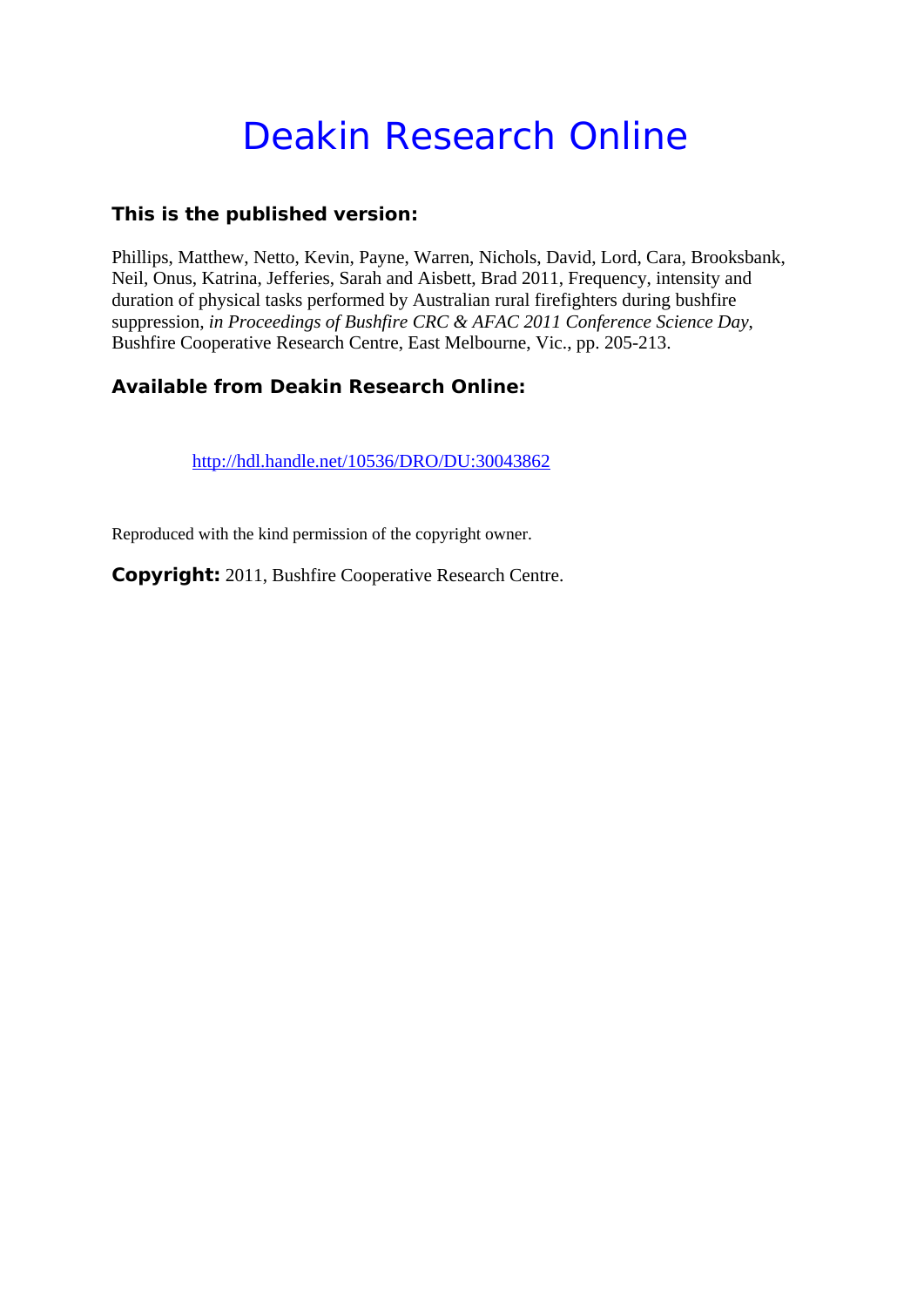# Deakin Research Online

# **This is the published version:**

Phillips, Matthew, Netto, Kevin, Payne, Warren, Nichols, David, Lord, Cara, Brooksbank, Neil, Onus, Katrina, Jefferies, Sarah and Aisbett, Brad 2011, Frequency, intensity and duration of physical tasks performed by Australian rural firefighters during bushfire suppression*, in Proceedings of Bushfire CRC & AFAC 2011 Conference Science Day*, Bushfire Cooperative Research Centre, East Melbourne, Vic., pp. 205-213.

# **Available from Deakin Research Online:**

http://hdl.handle.net/10536/DRO/DU:30043862

Reproduced with the kind permission of the copyright owner.

**Copyright:** 2011, Bushfire Cooperative Research Centre.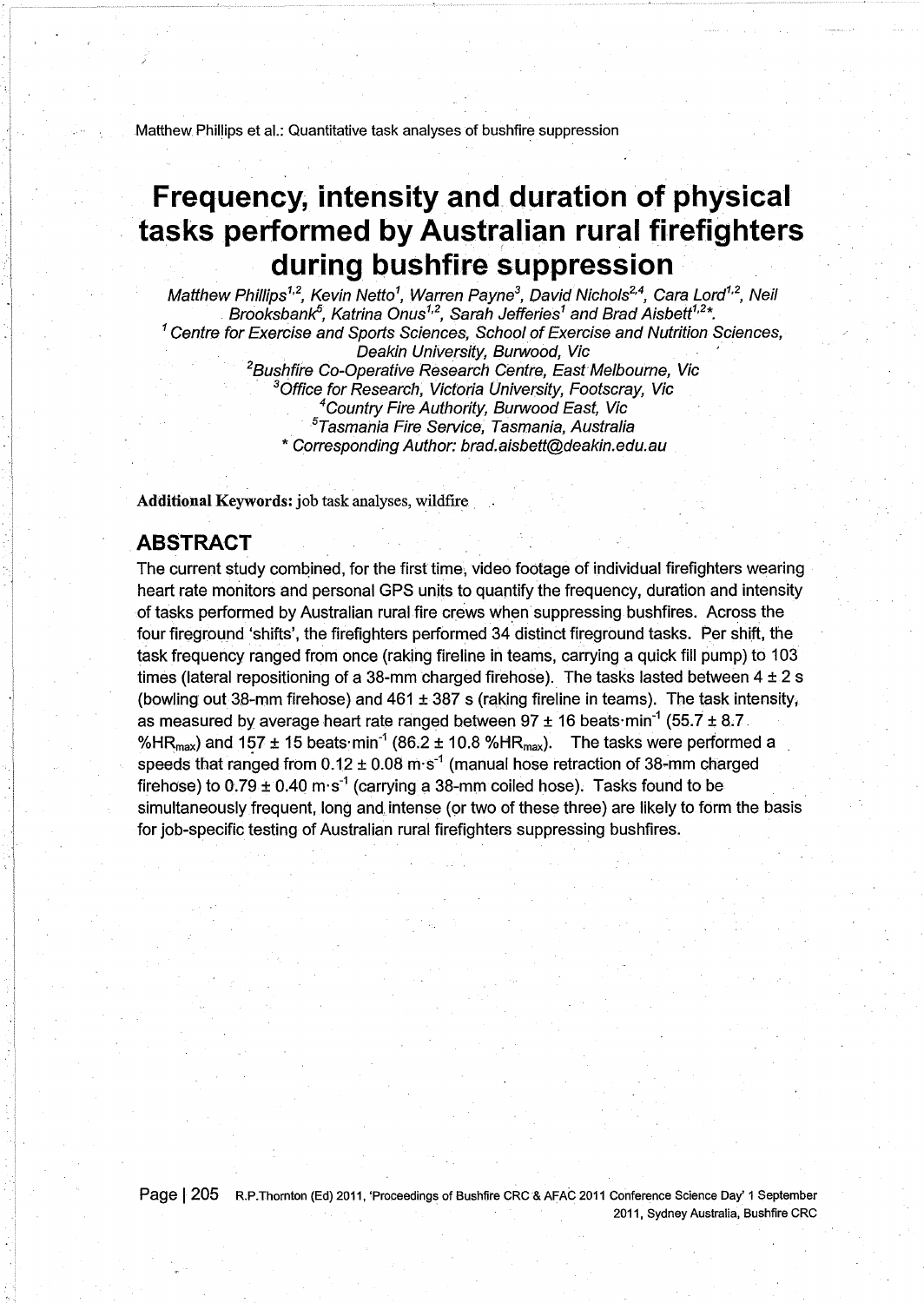# **Frequency, intensity and duration of physical tasks performed by Australian rural firefighters during bushfire suppression**

Matthew Phillips<sup>1,2</sup>, Kevin Netto<sup>1</sup>, Warren Payne<sup>3</sup>, David Nichols<sup>2,4</sup>, Cara Lord<sup>1,2</sup>, Neil Brooksbank<sup>5</sup>, Katrina Onus<sup>1,2</sup>, Sarah Jefferies<sup>1</sup> and Brad Aisbett<sup>1,2\*</sup>.  $1$  Centre for Exercise and Sports Sciences, School of Exercise and Nutrition Sciences, Deakin University, Burwood, Vic *2* Bushfire Co-Operative Research Centre, East-Melbourne, Vic <sup>3</sup> Office for Research, Victoria University, Footscray, Vic *4* Country Fire Authority, Burwood East, Vic 5 Tasmahia Fire Service, Tasmania, Australia \* Corresponding Author: brad.aisbett@deakin.edu.au

Additional Keywords: job task analyses, wildfire

# **ABSTRACT**

The current study combined, for the first time, video footage of individual firefighters wearing heart rate monitors and personal GPS units to quantify the frequency, duration and intensity of tasks performed by Australian rural fire crews when suppressing bushfires. Across the four fireground 'shifts', the firefighters performed 34 distinct fireground tasks. Per shift, the task frequency ranged from once (raking fireline in teams, carrying a quick fill pump) to 103 times (lateral repositioning of a 38-mm charged firehose). The tasks lasted between  $4 \pm 2$  s (bowling out 38-mm firehose) and 461  $\pm$  387 s (raking fireline in teams). The task intensity, as measured by average heart rate ranged between  $97 \pm 16$  beats $\cdot$ min<sup>-1</sup> (55.7  $\pm$  8.7. %HR<sub>max</sub>) and 157 ± 15 beats·min<sup>-1</sup> (86.2 ± 10.8 %HR<sub>max</sub>). The tasks were performed a speeds that ranged from  $0.12 \pm 0.08$  m·s<sup>-1</sup> (manual hose retraction of 38-mm charged firehose) to 0.79  $\pm$  0.40 m·s<sup>-1</sup> (carrying a 38-mm coiled hose). Tasks found to be simultaneously frequent, long and intense (or two of these three) are likely to form the basis for job-specific testing of Australian rural firefighters suppressing bushfires.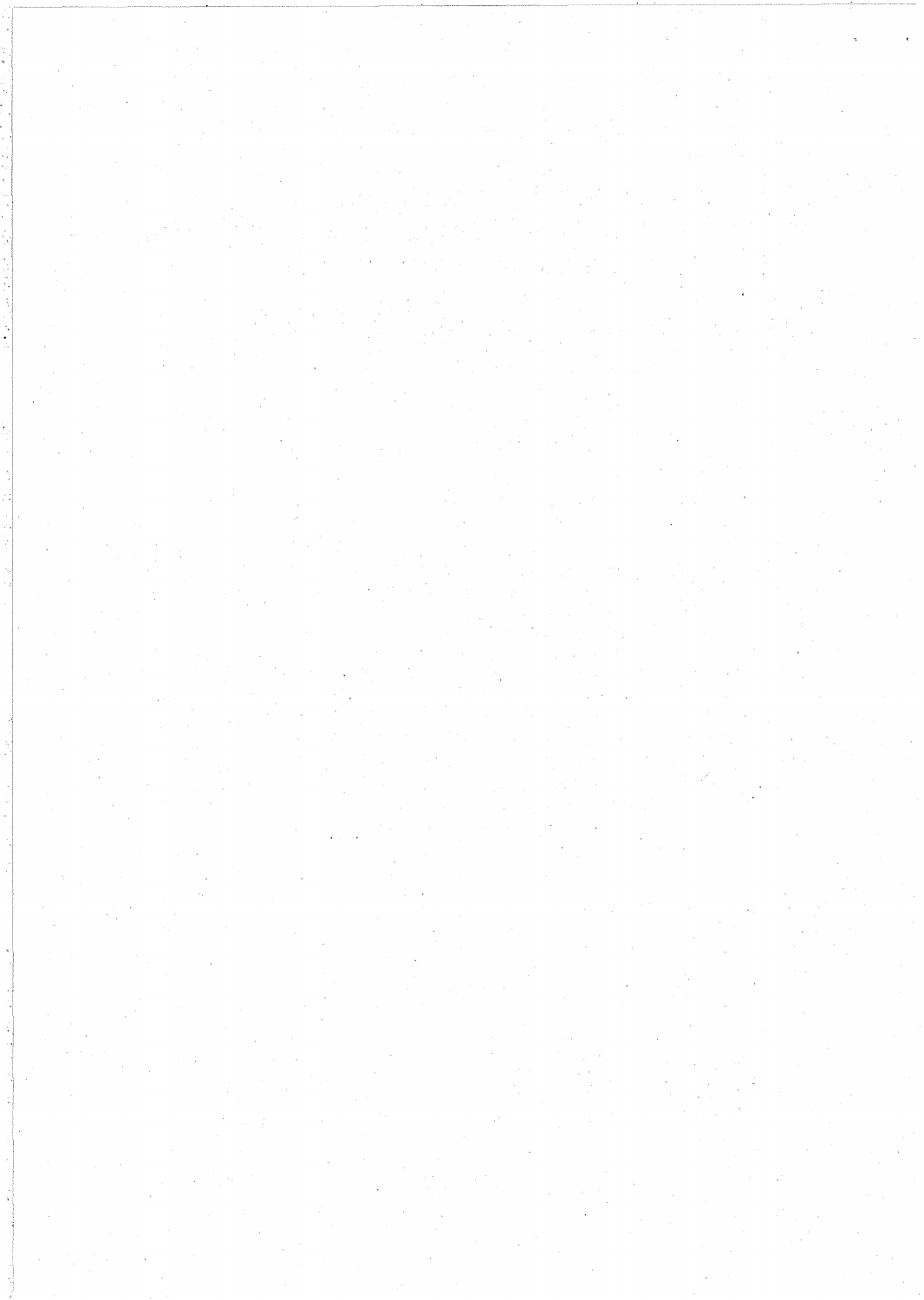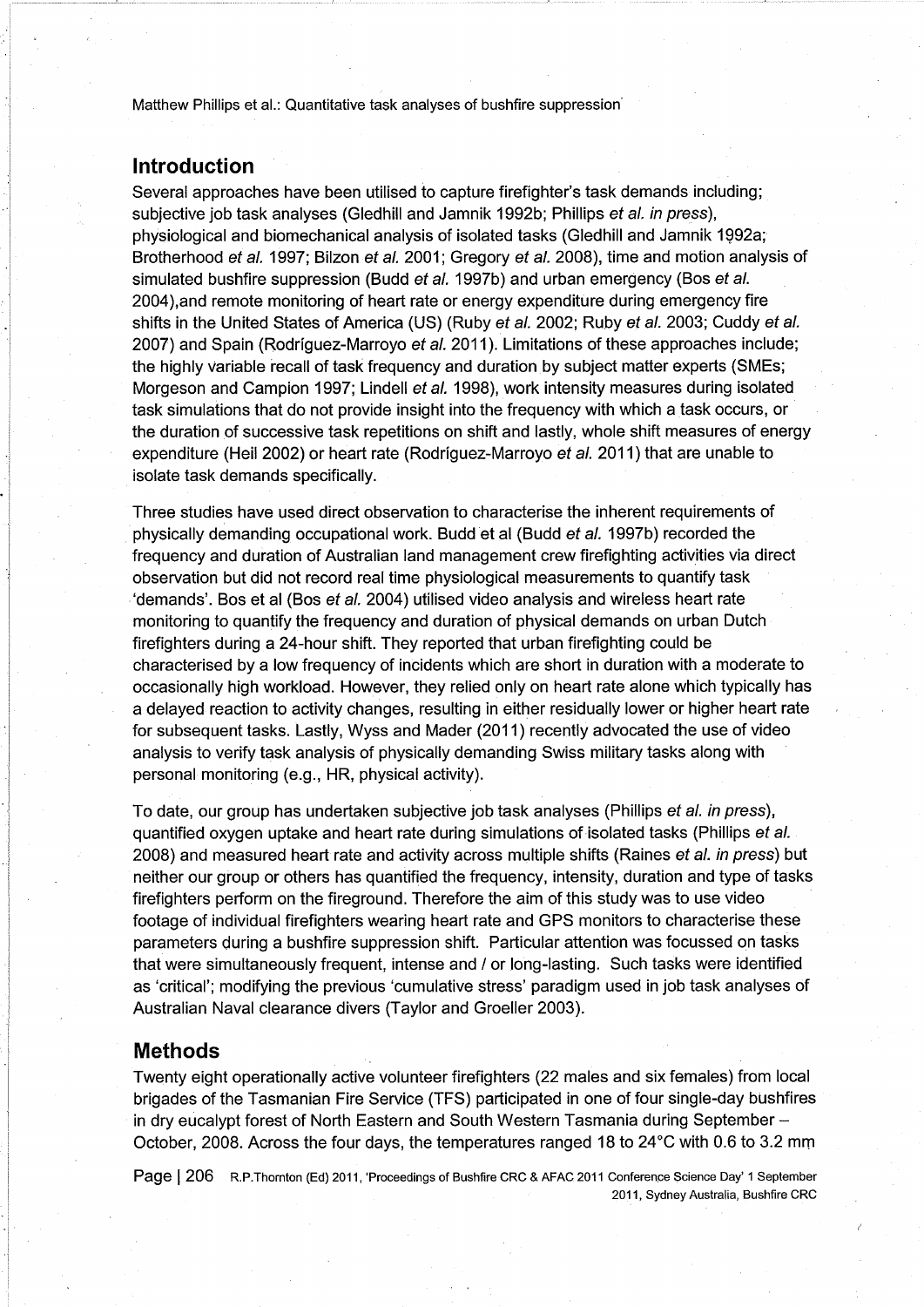### **Introduction**

Several approaches have been utilised to capture firefighter's task demands including; subjective job task analyses (Gledhill and Jamnik 1992b; Phillips et al. in press), physiological and biomechanical analysis of isolated tasks (Gledhill and Jamnik 1992a; Brotherhood et al. 1997; Bilzon et al. 2001; Gregory et al. 2008), time and motion analysis of simulated bushfire suppression (Budd et al. 1997b) and urban emergency (Bos et al. 2004),and remote monitoring of heart rate or energy expenditure during emergency fire shifts in the United States of America (US) (Ruby et al. 2002; Ruby et al. 2003; Cuddy et al. 2007) and Spain (Rodríguez-Marroyo et al. 2011). Limitations of these approaches include; the highly variable recall of task frequency and duration by subject matter experts (SMEs; Morgeson and Campion 1997; Lindell et al. 1998), work intensity measures during isolated task simulations that do not provide insight into the frequency with which a task occurs, or the duration of successive task repetitions on shift and lastly, whole shift measures of energy expenditure (Heil 2002) or heart rate (Rodríguez-Marroyo et al. 2011) that are unable to isolate task demands specifically.

Three studies have used direct observation to characterise the inherent requirements of physically demanding occupational work. Budd et al (Budd et al. 1997b) recorded the frequency and duration of Australian land management crew firefighting activities via direct observation but did not record real time physiological measurements to quantify task 'demands'. Bos et al (Bos et al. 2004) utilised video analysis and wireless heart rate monitoring to quantify the frequency and duration of physical demands on urban Dutch firefighters during a 24-hour shift. They reported that urban firefighting could be characterised by a low frequency of incidents which are short in duration with a moderate to occasionally high workload. However, they relied only on heart rate alone which typically has a delayed reaction to activity changes, resulting in either residually lower or higher heart rate for subsequent tasks. Lastly, Wyss and Mader (2011) recently advocated the use of video analysis to verify task analysis of physically demanding Swiss military tasks along with personal monitoring (e.g., HR, physical activity).

To date, our group has undertaken subjective job task analyses (Phillips et al. in press), quantified oxygen uptake and heart rate during simulations of isolated tasks (Phillips et al. 2008) and measured heart rate and activity across multiple shifts (Raines et al. in press) but neither our group or others has quantified the frequency, intensity, duration and type of tasks firefighters perform on the fireground. Therefore the aim of this study was to use video footage of individual firefighters wearing heart rate and GPS monitors to characterise these parameters during a bushfire suppression shift. Particular attention was focussed on tasks that were simultaneously frequent, intense and / or long-lasting. Such tasks were identified as 'critical'; modifying the previous 'cumulative stress' paradigm used in job task analyses of Australian Naval clearance divers (Taylor and Groeller 2003).

#### **Methods**

Twenty eight operationally active volunteer firefighters (22 males and six females) from local brigades of the Tasmanian Fire Service (TFS) participated in one of four single-day bushfires in dry eucalypt forest of North Eastern and South Western Tasmania during September-October, 2008. Across the four days, the temperatures ranged 18 to  $24^{\circ}$ C with 0.6 to 3.2 mm

Page | 206 R.P.Thornton (Ed) 2011, 'Proceedings of Bushfire CRC & AFAC 2011 Conference Science Day' 1 September 2011, Sydney Australia, Bushfire CRC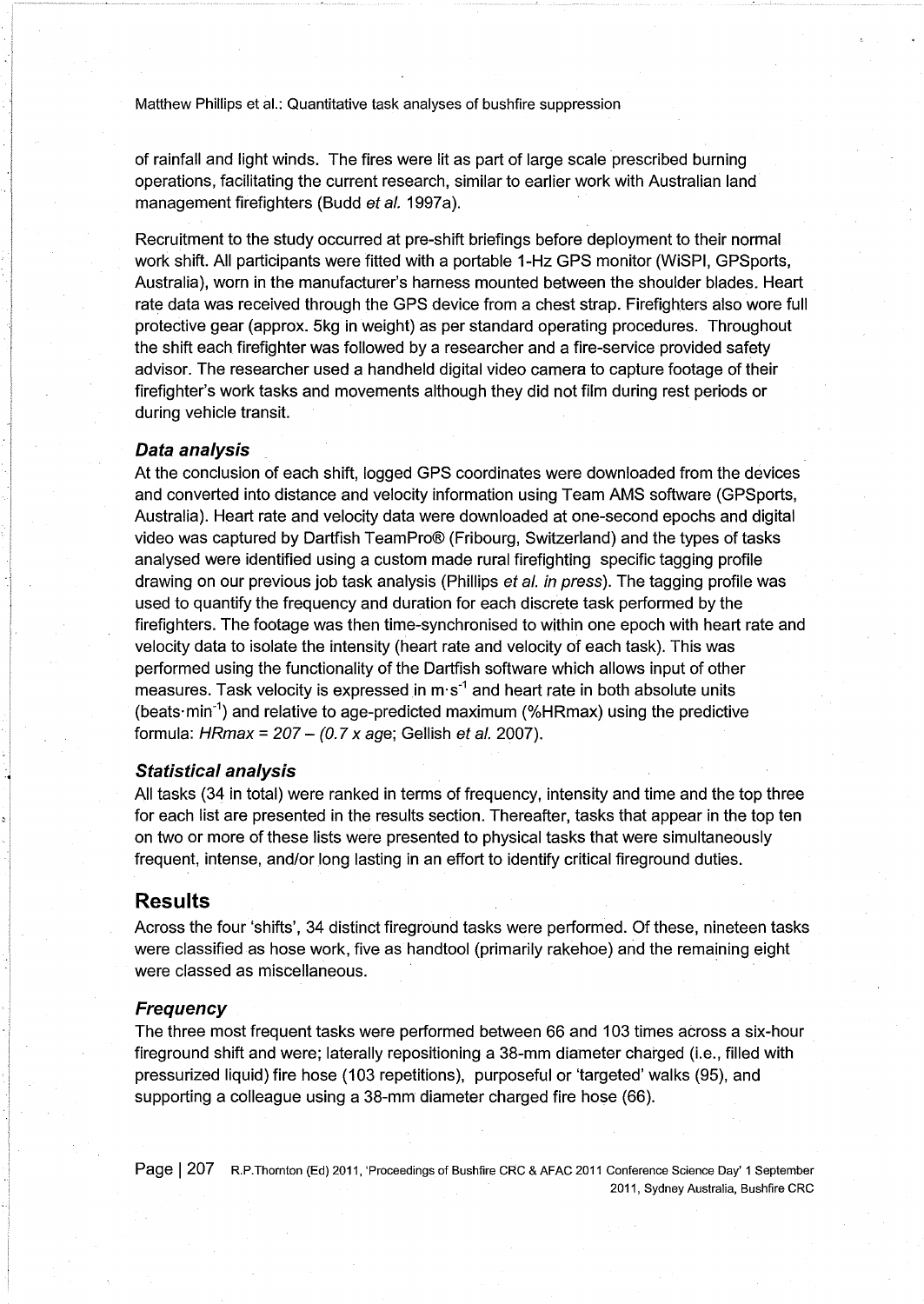of rainfall and light winds. The fires were lit as part of large scale prescribed burning operations, facilitating the current research, similar to earlier work with Australian land management firefighters (Budd et al. 1997a).

Recruitment to the study occurred at pre-shift briefings before deployment to their normal work shift. All participants were fitted with a portable 1-Hz GPS monitor (WiSPI, GPSports, Australia), worn in the manufacturer's harness mounted between the shoulder blades. Heart rate data was received through the GPS device from a chest strap. Firefighters also wore full protective gear (approx. 5kg in weight) as per standard operating procedures. Throughout the shift each firefighter was followed by a researcher and a fire-service provided safety advisor. The researcher used a handheld digital video camera to capture footage of their firefighter's work tasks and movements although they did not film during rest periods or during vehicle transit.

#### **Data analysis**

At the conclusion of each shift, logged GPS coordinates were downloaded from the devices and converted into distance and velocity information using Team AMS software (GPSports, Australia). Heart rate and velocity data were downloaded at one-second epochs and digital video was captured by Dartfish Team Pro® (Fribourg, Switzerland) and the types of tasks analysed were identified using a custom made rural firefighting specific tagging profile drawing on our previous job task analysis (Phillips et al. in press). The tagging profile was used to quantify the frequency and duration for each discrete task performed by the firefighters. The footage was then time-synchronised to within one epoch with heart rate and velocity data to isolate the intensity (heart rate and velocity of each task). This was performed using the functionality of the Dartfish software which allows input of other measures. Task velocity is expressed in  $m \cdot s^{-1}$  and heart rate in both absolute units (beats·min<sup>-1</sup>) and relative to age-predicted maximum (%HRmax) using the predictive formula:  $HRmax = 207 - (0.7 \times age)$ ; Gellish et al. 2007).

#### **Statistical analysis**

All tasks (34 in total) were ranked in terms of frequency, intensity and time and the top three for each list are presented in the results section. Thereafter, tasks that appear in the top ten on two or more of these lists were presented to physical tasks that were simultaneously frequent, intense, and/or long lasting in an effort to identify critical fireground duties.

#### **Results**

Across the four 'shifts', 34 distinct fireground tasks were performed. Of these, nineteen tasks were classified as hose work, five as handtool (primarily rakehoe) and the remaining eight were classed as miscellaneous.

#### **Frequency**

The three most frequent tasks were performed between 66 and 103 times across a six-hour fireground shift and were; laterally repositioning a 38-mm diameter charged (i.e., filled with pressurized liquid) fire hose (103 repetitions), purposeful or 'targeted' walks (95), and supporting a colleague using a 38-mm diameter charged fire hose (66).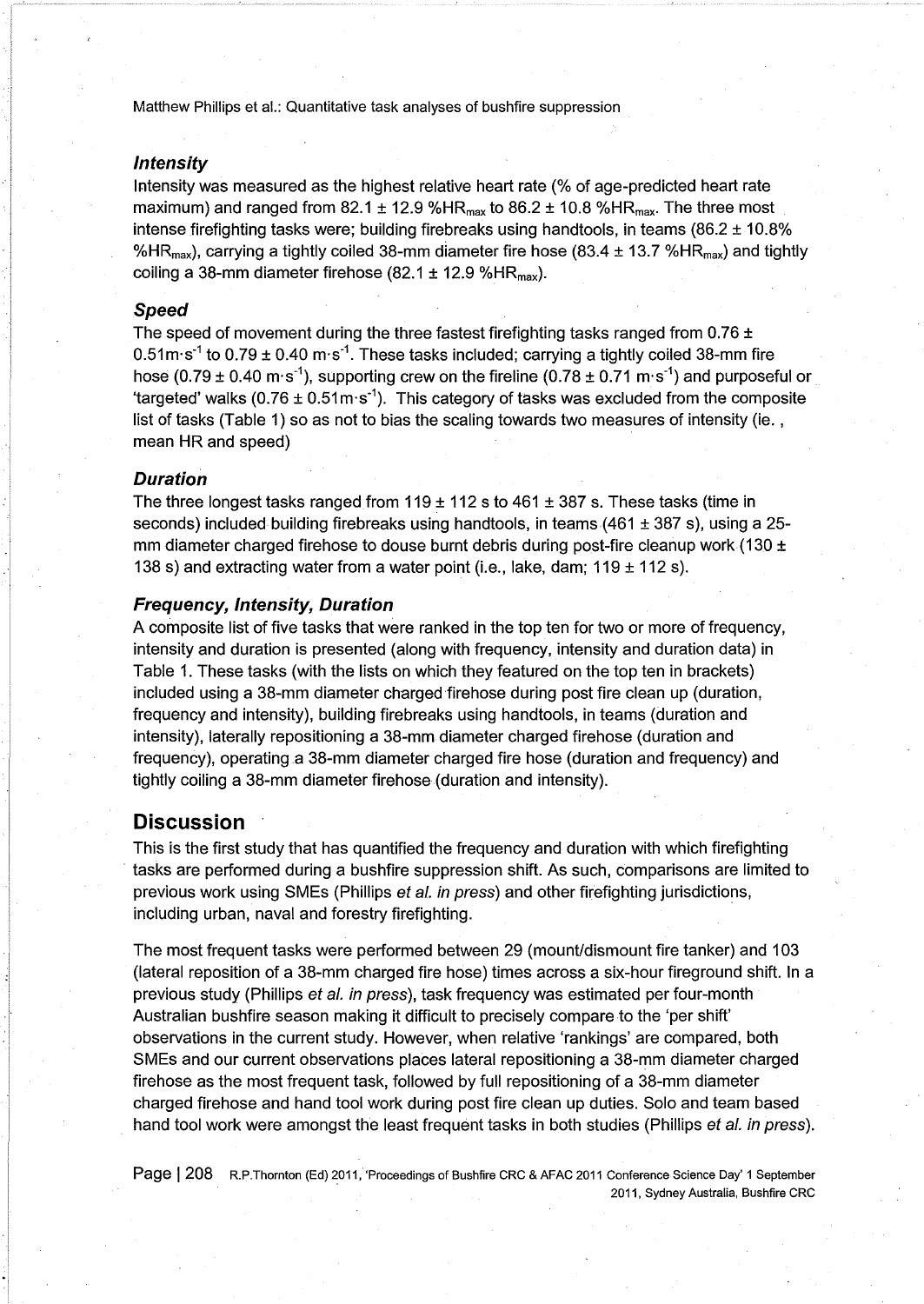#### **Intensity**

Intensity was measured as the highest relative heart rate (% of age-predicted heart rate maximum) and ranged from 82.1  $\pm$  12.9 %HR<sub>max</sub> to 86.2  $\pm$  10.8 %HR<sub>max</sub>. The three most intense firefighting tasks were; building firebreaks using handtools, in teams (86.2 ± 10.8% %HR<sub>max</sub>), carrying a tightly coiled 38-mm diameter fire hose (83.4  $\pm$  13.7 %HR<sub>max</sub>) and tightly coiling a 38-mm diameter firehose (82.1  $\pm$  12.9 %HR<sub>max</sub>).

#### **Speed**

The speed of movement during the three fastest firefighting tasks ranged from 0.76  $\pm$ 0.51m·s<sup>-1</sup> to 0.79  $\pm$  0.40 m·s<sup>-1</sup>. These tasks included; carrying a tightly coiled 38-mm fire hose (0.79  $\pm$  0.40 m·s<sup>-1</sup>), supporting crew on the fireline (0.78  $\pm$  0.71 m·s<sup>-1</sup>) and purposeful or 'targeted' walks (0.76  $\pm$  0.51m·s<sup>-1</sup>). This category of tasks was excluded from the composite list of tasks (Table 1) so as not to bias the scaling towards two measures of intensity (ie. , mean HR and speed)

#### **Duration**

The three longest tasks ranged from  $119 \pm 112$  s to  $461 \pm 387$  s. These tasks (time in seconds) included building firebreaks using handtools, in teams (461 ± 387 s), using a 25 mm diameter charged firehose to douse burnt debris during post-fire cleanup work (130  $\pm$ 138 s) and extracting water from a water point (i.e., lake, dam; 119 ± 112 s).

#### **Frequency, Intensity, Duration**

A composite list of five tasks that were ranked in the top ten for two or more of frequency, intensity and duration is presented (along with frequency, intensity and duration data) in Table 1. These tasks (with the lists on which they featured on the top ten in brackets) included using a 38-mm diameter charged firehose during post fire clean up (duration, frequency and intensity), building firebreaks using handtools, in teams (duration and intensity), laterally repositioning a 38-mmdiameter charged firehose (duration and frequency), operating a 38-mm diameter charged fire hose (duration and frequency) and tightly coiling a 38-mm diameter firehose (duration and intensity).

#### **Discussion**

•,

This is the first study that has quantified the frequency and duration with which firefighting tasks are performed during a bushfire suppression shift. As such, comparisons are limited to previous work using SMEs (Phillips et al. in press) and other firefighting jurisdictions, including urban, naval and forestry firefighting.

The most frequent tasks were performed between 29 (mount/dismount fire tanker) and 103 (lateral reposition of a 38-mm charged fire hose) times across a six-hour fireground shift. In a previous study (Phillips et al. in press), task frequency was estimated per four-month Australian bushfire season making it difficult to precisely compare to the 'per shift' observations in the current study. However, when relative 'rankings' are compared, both SMEs and our current observations places lateral repositioning a 38-mm diameter charged firehose as the most frequent task, followed by full repositioning of a 38-mm diameter charged firehose and hand tool work during post fire clean up duties. Solo and team based hand tool work were amongst the least frequent tasks in both studies (Phillips et al. in press).

Page | 208 R.P. Thornton (Ed) 2011, 'Proceedings of Bushfire CRC & AFAC 2011 Conference Science Day' 1 September 2011, Sydney Australia, Bushfire CRC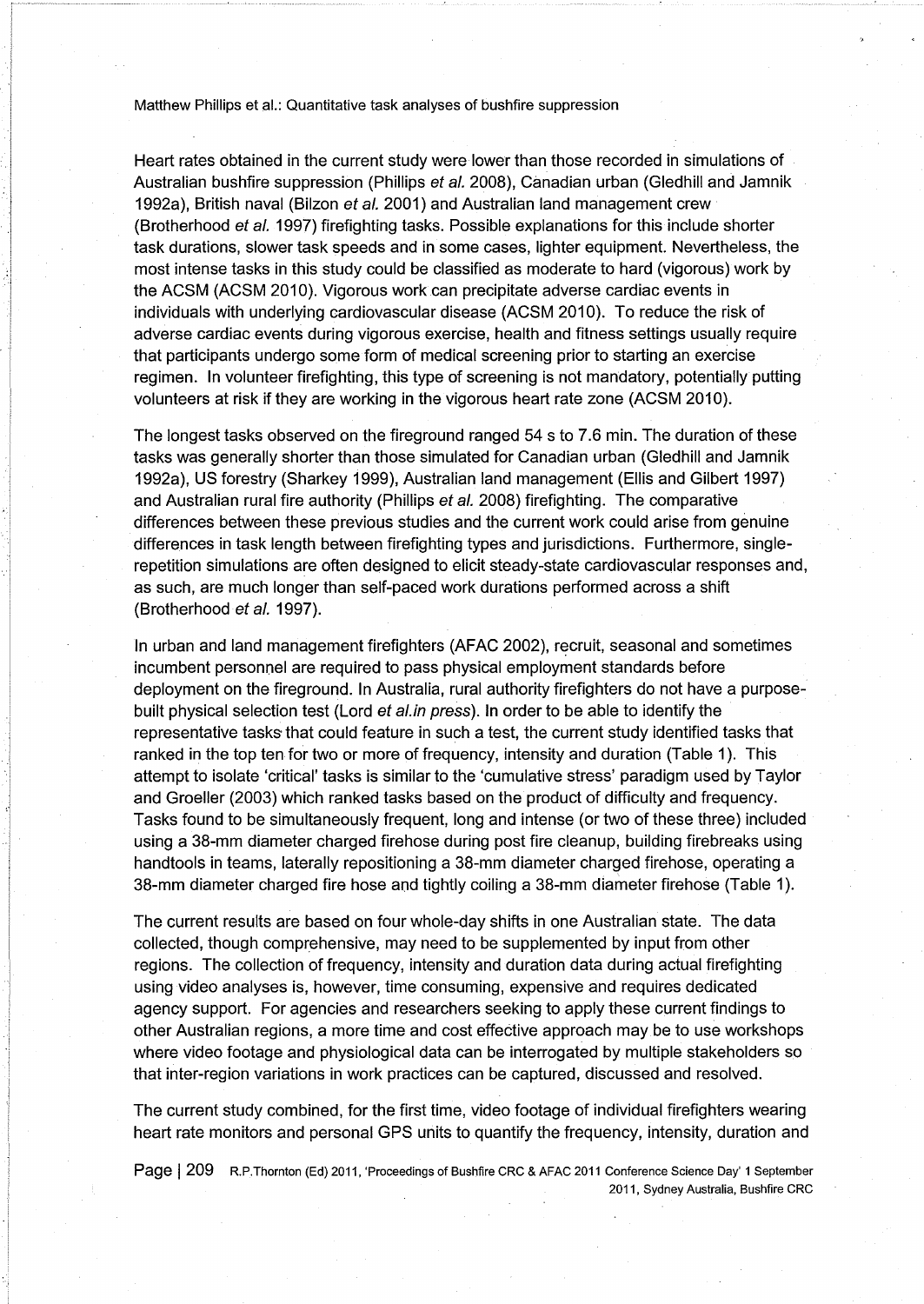Heart rates obtained in the current study were lower than those recorded in simulations of Australian bushfire suppression (Phillips et al. 2008), Canadian urban (Gledhill and Jamnik 1992a), British naval (Bilzon et al. 2001) and Australian land management crew (Brotherhood et al. 1997) firefighting tasks. Possible explanations for this include shorter task durations, slower task speeds and in some cases, lighter equipment. Nevertheless, the most intense tasks in this study could be classified as moderate to hard (vigorous) work by the ACSM (ACSM 2010). Vigorous work can precipitate adverse cardiac events in individuals with underlying cardiovascular disease (ACSM 2010). To reduce the risk of adverse cardiac events during vigorous exercise, health and fitness settings usually require that participants undergo some form of medical screening prior to starting an exercise regimen. In volunteer firefighting, this type of screening is not mandatory, potentially putting volunteers at risk if they are working in the vigorous heart rate zone (ACSM 2010).

The longest tasks observed on the fireground ranged 54 s to 7.6 min. The duration of these tasks was generally shorter than those simulated for Canadian urban (Gledhill and Jamnik 1992a), US forestry (Sharkey 1999), Australian land management (Ellis and Gilbert 1997) and Australian rural fire authority (Phillips et al. 2008) firefighting. The comparative differences between these previous studies and the current work could arise from genuine differences in task length between firefighting types and jurisdictions. Furthermore, singlerepetition simulations are often designed to elicit steady-state cardiovascular responses and, as such, are much longer than self-paced work durations performed across a shift (Brotherhood et a/. 1997).

In urban and land management firefighters (AFAC 2002), recruit, seasonal and sometimes incumbent personnel are required to pass physical employment standards before deployment on the fireground. In Australia, rural authority firefighters do not have a purposebuilt physical selection test (Lord et al.in press). In order to be able to identify the representative tasks that could feature in such a test, the current study identified tasks that ranked in the top ten for two or more of frequency, intensity and duration (Table 1). This attempt to isolate 'critical' tasks is similar to the 'cumulative stress' paradigm used by Taylor and Groeller (2003) which ranked tasks based on the product of difficulty and frequency. Tasks found to be simultaneously frequent, long and intense (or two of these three) included using a 38-mm diameter charged firehose during post fire cleanup, building firebreaks using handtools in teams, laterally repositioning a 38-mm diameter charged firehose, operating a 38-mm diameter charged fire hose and tightly coiling a 38-mm diameter firehose (Table 1 ).

The current results are based on four whole-day shifts in one Australian state. The data collected, though comprehensive, may need to be supplemented by input from other regions. The collection of frequency, intensity and duration data during actual firefighting using video analyses is, however, time consuming, expensive and requires dedicated agency support. For agencies and researchers seeking to apply these current findings to other Australian regions, a more time and cost effective approach may be to use workshops where video footage and physiological data can be interrogated by multiple stakeholders so that inter-region variations in work practices can be captured, discussed and resolved.

The current study combined, for the first time, video footage of individual firefighters wearing heart rate monitors and personal GPS units to quantify the frequency, intensity, duration and

Page | 209 R.P.Thornton (Ed) 2011, 'Proceedings of Bushfire CRC & AFAC 2011 Conference Science Day' 1 September 2011, Sydney Australia, Bushfire CRC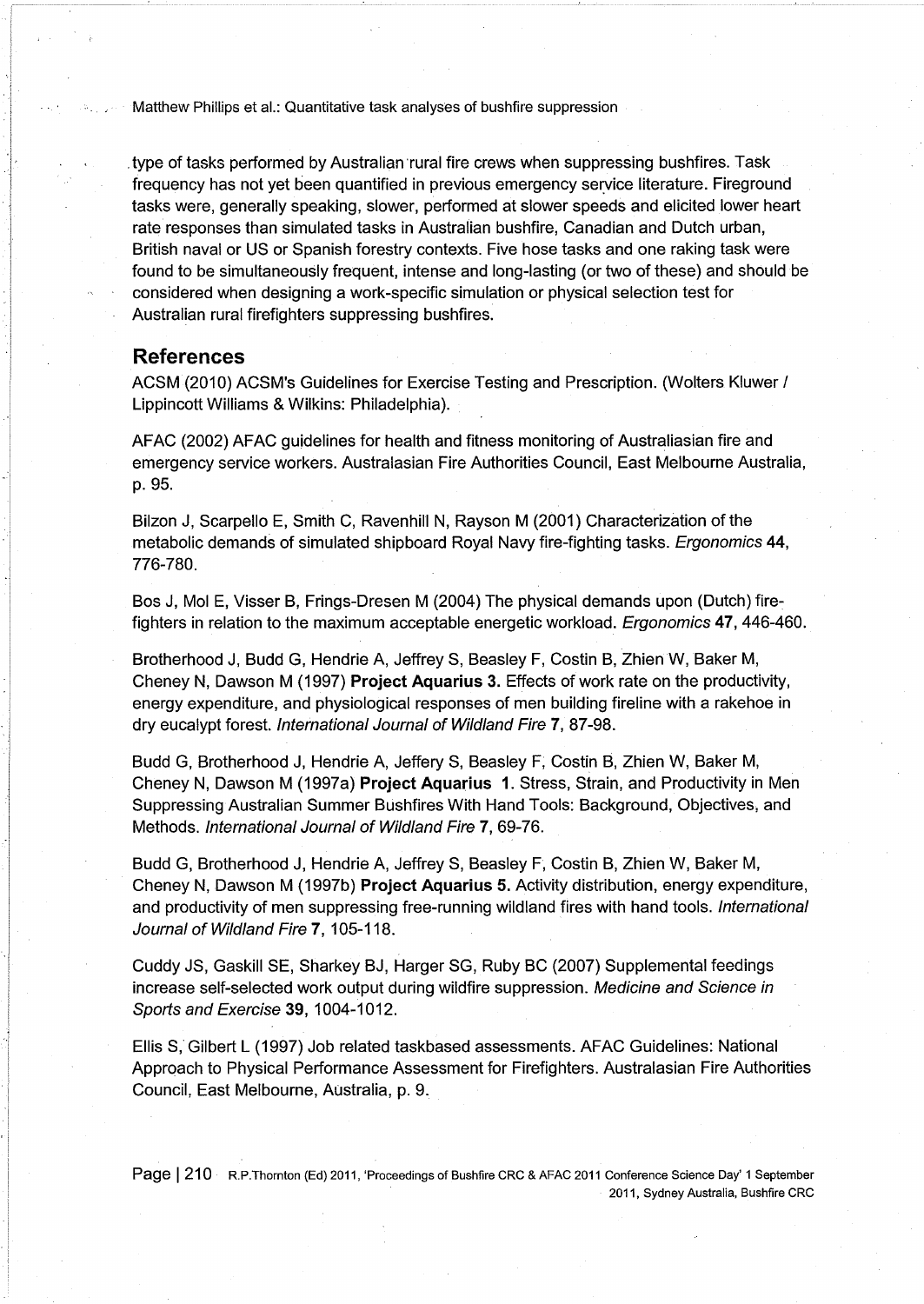. type of tasks performed by Australian ·rural fire crews when suppressing bushfires. Task frequency has not yet been quantified in previous emergency service literature. Fireground tasks were, generally speaking, slower, performed at slower speeds and elicited lower heart rate responses than simulated tasks in Australian bushfire, Canadian and Dutch urban, British naval or US or Spanish forestry contexts. Five hose tasks and one raking task were found to be simultaneously frequent, intense and long-lasting (or two of these) and should be considered when designing a work-specific simulation or physical selection test for Australian rural firefighters suppressing bushfires.

#### **References**

ACSM (2010) ACSM's Guidelines for Exercise Testing and Prescription. (Wolters Kluwer I Lippincott Williams & Wilkins: Philadelphia).

AFAC (2002) AFAC guidelines for health and fitness monitoring of Australiasian fire and emergency service workers. Australasian Fire Authorities Council, East Melbourne Australia, p. 95.

Bilzon J, Scarpello E, Smith C, Ravenhill N, Rayson M (2001) Characterization of the metabolic demands of simulated shipboard Royal Navy fire-fighting tasks. Ergonomics **44,**  776-780.

Bos J, MolE, Visser B, Frings-Dresen M (2004) The physical demands upon (Dutch) firefighters in relation to the maximum acceptable energetic workload. Ergonomics **47,** 446-460.

Brotherhood J, Budd G, Hendrie A, Jeffrey S, Beasley F, Costin B, Zhien W, Baker M, Cheney N, Dawson M (1997) **Project Aquarius** 3. Effects of work rate on the productivity, energy expenditure, and physiological responses of men building fireline with a rakehoe in dry eucalypt forest. International Journal of Wildland Fire **7,** 87-98.

Budd G, Brotherhood J, Hendrie A, Jeffery S, Beasley F, Costin B, Zhien W, Baker M, Cheney N, Dawson M (1997a) **Project Aquarius 1.** Stress, Strain, and Productivity in Men Suppressing Australian Summer Bushfires With Hand Tools: Background, Objectives, and Methods. International Journal of Wildland Fire **7,** 69-76.

Budd G, Brotherhood J, Hendrie A, Jeffrey S, Beasley F, Costin B, Zhien W, Baker M, Cheney N, Dawson M (1997b) **Project Aquarius** 5. Activity distribution, energy expenditure, and productivity of men suppressing free-running wildland fires with hand tools. International Journal of Wildland Fire 7, 105-118.

Cuddy JS, Gaskill SE, Sharkey BJ, Harger SG, Ruby BC (2007) Supplemental feedings increase self-selected work output during wildfire suppression. Medicine and Science in Sports and Exercise **39,** 1004-1012.

Ellis S, Gilbert L (1997) Job related taskbased assessments. AFAC Guidelines: National Approach to Physical Performance Assessment for Firefighters. Australasian Fire Authorities Council, East Melbourne, Australia, p. 9.

Page | 210 R.P.Thornton (Ed) 2011, 'Proceedings of Bushfire CRC & AFAC 2011 Conference Science Day' 1 September 2011, Sydney Australia, Bushfire CRC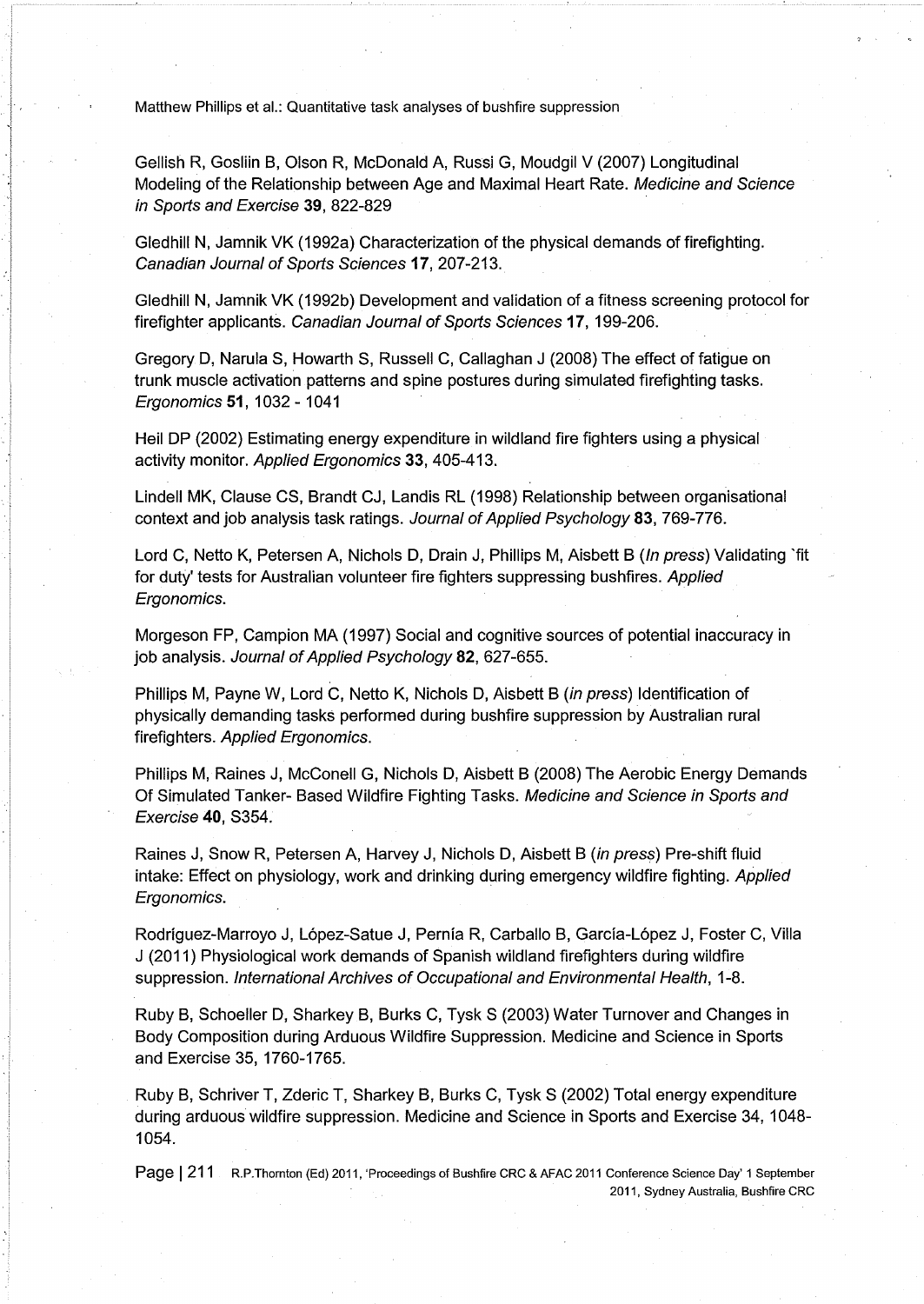Gellish R, Gosliin B, Olson R, McDonald A, Russi G, Moudgil V (2007) Longitudinal Modeling of the Relationship between Age and Maximal Heart Rate. Medicine and Science in Sports and Exercise 39, 822-829

Gledhill N, Jamnik VK (1992a) Characterization of the physical demands of firefighting. Canadian Journal of Sports Sciences 17, 207-213.

Gledhill N, Jamnik VK (1992b) Development and validation of a fitness screening protocol for firefighter applicants. Canadian Journal of Sports Sciences 17, 199-206.

Gregory D, Narula S, Howarth S, Russell C, Callaghan J (2008) The effect of fatigue on trunk muscle activation patterns and spine postures during simulated firefighting tasks. Ergonomics 51, 1032 - 1041

Heil DP (2002) Estimating energy expenditure in wildland fire fighters using a physical activity monitor. Applied Ergonomics 33, 405-413.

Lindell MK, Clause CS, Brandt CJ, Landis RL (1998) Relationship between organisational context and job analysis task ratings. Journal of Applied Psychology 83, 769-776.

Lord C, Netto K, Petersen A, Nichols D, Drain J, Phillips M, Aisbett B (In press) Validating 'fit for duty' tests for Australian volunteer fire fighters suppressing bushfires. Applied Ergonomics.

Margeson FP, Campion MA (1997) Social and cognitive sources of potential inaccuracy in job analysis. Journal of Applied Psychology 82, 627-655.

Phillips M, Payne W, Lord C, Netto K, Nichols D, Aisbett B (in press) Identification of physically demanding tasks performed during bushfire suppression by Australian rural firefighters. Applied Ergonomics.

Phillips M, Raines J, McConell G, Nichols D, Aisbett B (2008) The Aerobic Energy Demands Of Simulated Tanker- Based Wildfire Fighting Tasks. Medicine and Science in Sports and Exercise 40, S354.

Raines J, Snow R, Petersen A, Harvey J, Nichols D, Aisbett B (in press) Pre-shift fluid intake: Effect on physiology, work and drinking during emergency wildfire fighting. Applied Ergonomics.

Rodríguez-Marroyo J, López-Satue J, Pernía R, Carballo B, García-López J, Foster C, Villa J (2011) Physiological work demands of Spanish wildland firefighters during wildfire suppression. International Archives of Occupational and Environmental Health, 1-8.

Ruby B, Schoeller D, Sharkey B, Burks C, Tysk S (2003) Water Turnover and Changes in Body Composition during Arduous Wildfire Suppression. Medicine and Science in Sports and Exercise 35, 1760-1765.

Ruby B, Schriver T, Zderic T, Sharkey B, Burks C, Tysk S (2002) Total energy expenditure during arduous wildfire suppression. Medicine and Science in Sports and Exercise 34, 1048- 1054.

Page | 211 R.P.Thornton (Ed) 2011, 'Proceedings of Bushfire CRC & AFAC 2011 Conference Science Day' 1 September 2011, Sydney Australia, Bushfire CRC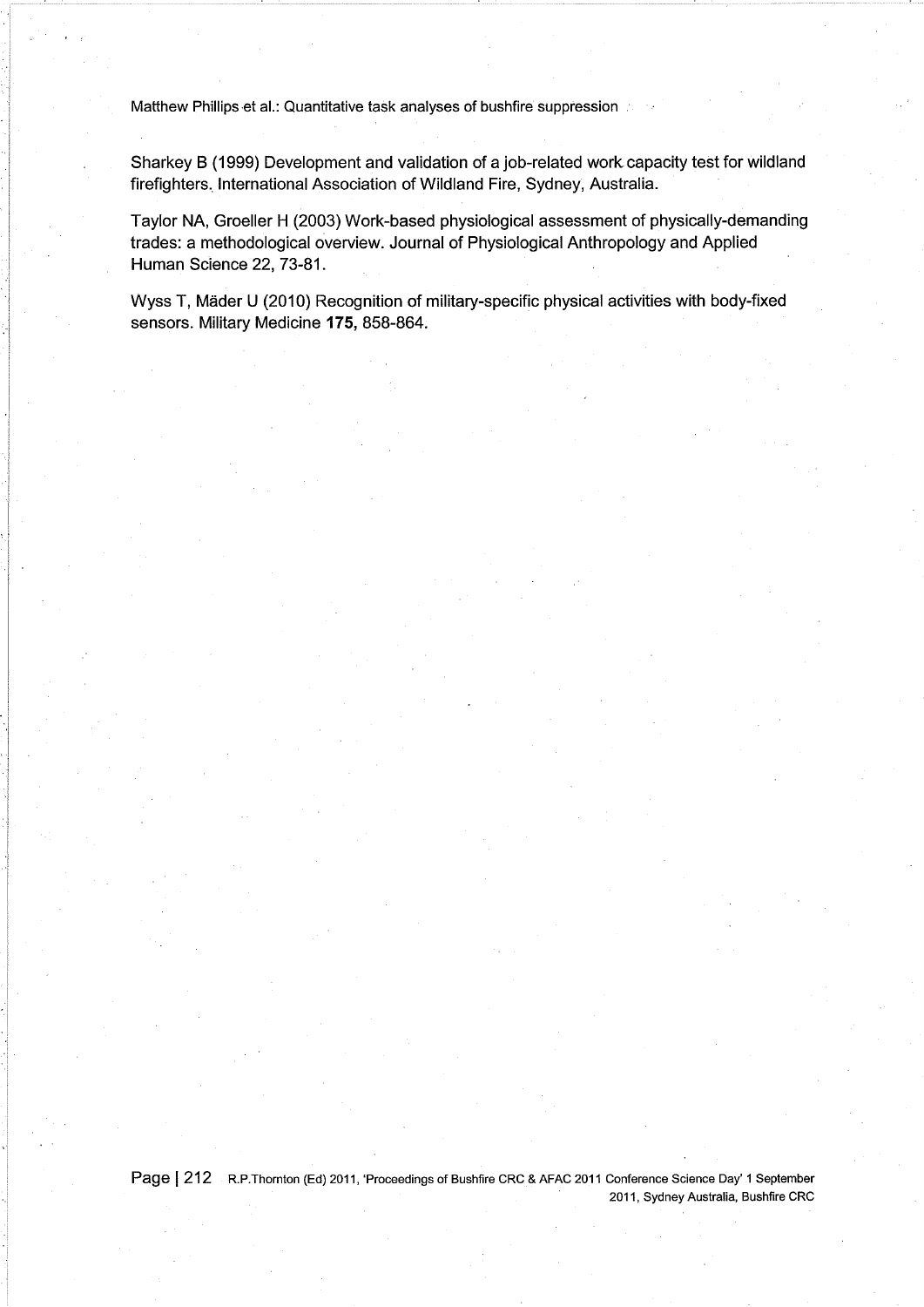Sharkey 8 (1999) Development and validation of a job-related work. capacity test for wildland firefighters. International Association of Wildland Fire, Sydney, Australia.

Taylor NA, Groeller H (2003) Work-based physiological assessment of physically-demanding trades: a methodological overview. Journal of Physiological Anthropology and Applied Human Science 22, 73-81.

Wyss T, Mäder U (2010) Recognition of military-specific physical activities with body-fixed sensors. Military Medicine 175, 858-864.